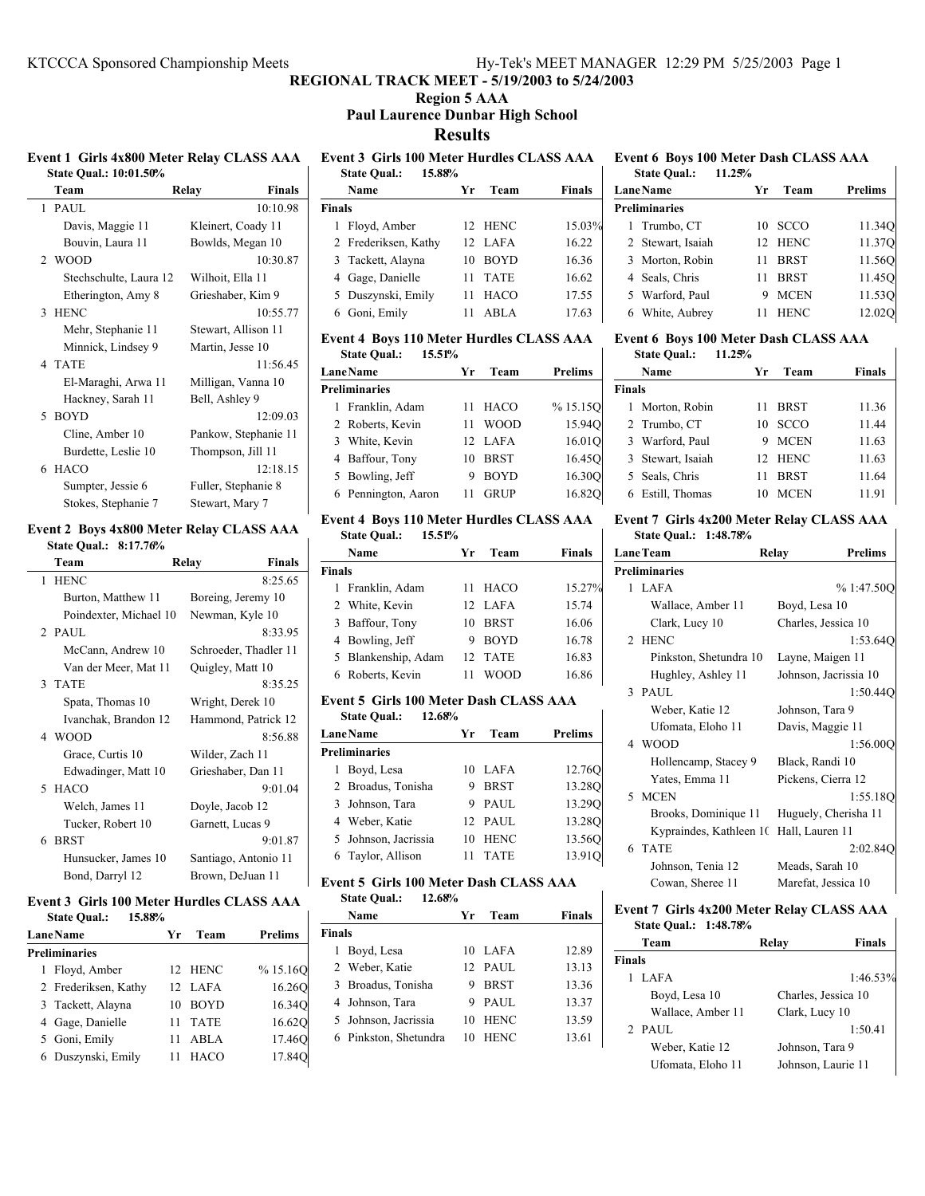### **Region 5 AAA Paul Laurence Dunbar High School**

**Results**

#### **Event 1 Girls 4x800 Meter Relay CLASS AAA State Qual.: 10:01.50%**

| Team                   | Relay          | <b>Finals</b>        |
|------------------------|----------------|----------------------|
| 1 PAUL                 |                | 10:10.98             |
| Davis, Maggie 11       |                | Kleinert, Coady 11   |
| Bouvin, Laura 11       |                | Bowlds, Megan 10     |
| 2 WOOD                 |                | 10:30.87             |
| Stechschulte, Laura 12 |                | Wilhoit, Ella 11     |
| Etherington, Amy 8     |                | Grieshaber, Kim 9    |
| 3 HENC                 |                | 10:55.77             |
| Mehr, Stephanie 11     |                | Stewart, Allison 11  |
| Minnick, Lindsey 9     |                | Martin, Jesse 10     |
| 4 TATE                 |                | 11:56.45             |
| El-Maraghi, Arwa 11    |                | Milligan, Vanna 10   |
| Hackney, Sarah 11      | Bell, Ashley 9 |                      |
| 5 BOYD                 |                | 12:09.03             |
| Cline, Amber 10        |                | Pankow, Stephanie 11 |
| Burdette, Leslie 10    |                | Thompson, Jill 11    |
| 6 HACO                 |                | 12:18.15             |
| Sumpter, Jessie 6      |                | Fuller, Stephanie 8  |
| Stokes, Stephanie 7    |                | Stewart, Mary 7      |

#### **Event 2 Boys 4x800 Meter Relay CLASS AAA State Qual.: 8:17.76%**

| Team                   | Relay | <b>Finals</b>         |
|------------------------|-------|-----------------------|
| 1 HENC                 |       | 8:25.65               |
| Burton, Matthew 11     |       | Boreing, Jeremy 10    |
| Poindexter, Michael 10 |       | Newman, Kyle 10       |
| $2$ PAUL               |       | 8:33.95               |
| McCann, Andrew 10      |       | Schroeder, Thadler 11 |
| Van der Meer, Mat 11   |       | Quigley, Matt 10      |
| 3 TATE                 |       | 8:35.25               |
| Spata, Thomas 10       |       | Wright, Derek 10      |
| Ivanchak, Brandon 12   |       | Hammond, Patrick 12   |
| 4 WOOD                 |       | 8:56.88               |
| Grace, Curtis 10       |       | Wilder, Zach 11       |
| Edwadinger, Matt 10    |       | Grieshaber, Dan 11    |
| 5 HACO                 |       | 9:01.04               |
| Welch, James 11        |       | Doyle, Jacob 12       |
| Tucker, Robert 10      |       | Garnett, Lucas 9      |
| 6 BRST                 |       | 9:01.87               |
| Hunsucker, James 10    |       | Santiago, Antonio 11  |
| Bond, Darryl 12        |       | Brown, DeJuan 11      |

### **Event 3 Girls 100 Meter Hurdles CLASS AAA**

| 15.88%<br><b>State Oual.:</b> |    |             |                |
|-------------------------------|----|-------------|----------------|
| <b>Lane Name</b>              | Yr | Team        | <b>Prelims</b> |
| <b>Preliminaries</b>          |    |             |                |
| 1 Floyd, Amber                |    | 12 HENC     | % 15.16Q       |
| 2 Frederiksen, Kathy          |    | 12 LAFA     | 16.260         |
| 3 Tackett, Alayna             | 10 | <b>BOYD</b> | 16.34Q         |
| 4 Gage, Danielle              | 11 | <b>TATE</b> | 16.620         |
| 5 Goni, Emily                 | 11 | ABLA        | 17.46O         |
| 6 Duszynski, Emily            |    | <b>HACO</b> | 17.84Q         |

# **Event 3 Girls 100 Meter Hurdles CLASS AAA**

| <b>State Qual.:</b>  |    |             |                                   |
|----------------------|----|-------------|-----------------------------------|
| Name                 | Уr | Team        | <b>Finals</b>                     |
| <b>Finals</b>        |    |             |                                   |
| Floyd, Amber         |    |             | 15.03%                            |
| 2 Frederiksen, Kathy |    |             | 16.22                             |
| 3 Tackett, Alayna    | 10 | <b>BOYD</b> | 16.36                             |
| 4 Gage, Danielle     | 11 |             | 16.62                             |
| 5 Duszynski, Emily   | 11 | <b>HACO</b> | 17.55                             |
| Goni, Emily          | 11 | ABLA        | 17.63                             |
|                      |    | 15.88%      | 12 HENC<br>12 LAFA<br><b>TATE</b> |

### **Event 4 Boys 110 Meter Hurdles CLASS AAA**

| 15.51%<br><b>State Qual.:</b> |                   |         |
|-------------------------------|-------------------|---------|
| <b>LaneName</b>               | Team<br>Уr        | Prelims |
| <b>Preliminaries</b>          |                   |         |
| 1 Franklin, Adam              | HACO<br>11        | %15.15O |
| 2 Roberts, Kevin              | <b>WOOD</b><br>11 | 15.940  |
| 3 White, Kevin                | 12 LAFA           | 16.01Q  |
| 4 Baffour, Tony               | <b>BRST</b><br>10 | 16.450  |
| 5 Bowling, Jeff               | <b>BOYD</b><br>9  | 16.300  |
| 6 Pennington, Aaron           | <b>GRUP</b>       | 16.820  |
|                               |                   |         |

#### **Event 4 Boys 110 Meter Hurdles CLASS AAA State Qual.: 15.51%**

|               | waa vaan<br>10001/0 |                 |             |        |
|---------------|---------------------|-----------------|-------------|--------|
|               | Name                | Уr              | Team        | Finals |
| <b>Finals</b> |                     |                 |             |        |
|               | 1 Franklin, Adam    | 11              | HACO        | 15.27% |
|               | 2 White, Kevin      |                 | 12 LAFA     | 15.74  |
|               | 3 Baffour, Tony     | 10              | <b>BRST</b> | 16.06  |
|               | 4 Bowling, Jeff     | 9               | <b>BOYD</b> | 16.78  |
|               | 5 Blankenship, Adam | 12 <sub>1</sub> | <b>TATE</b> | 16.83  |
|               | 6 Roberts, Kevin    |                 | WOOD        | 16.86  |

#### **Event 5 Girls 100 Meter Dash CLASS AAA State Qual.: 12.68%**

| <b>LaneName</b>      | Yr | Team        | Prelims |
|----------------------|----|-------------|---------|
| <b>Preliminaries</b> |    |             |         |
| 1 Boyd, Lesa         |    | 10 LAFA     | 12.760  |
| 2 Broadus, Tonisha   | 9  | <b>BRST</b> | 13.280  |
| 3 Johnson, Tara      |    | 9 PAUL      | 13.290  |
| 4 Weber, Katie       |    | 12 PAUL     | 13.280  |
| 5 Johnson, Jacrissia | 10 | <b>HENC</b> | 13.560  |
| 6 Taylor, Allison    |    | <b>TATE</b> | 13.91Q  |
|                      |    |             |         |

# **Event 5 Girls 100 Meter Dash CLASS AAA**

|               | 12.68%<br><b>State Qual.:</b> |                 |             |               |
|---------------|-------------------------------|-----------------|-------------|---------------|
|               | Name                          | Уr              | Team        | <b>Finals</b> |
| <b>Finals</b> |                               |                 |             |               |
| L             | Boyd, Lesa                    | 10              | <b>LAFA</b> | 12.89         |
|               | 2 Weber, Katie                | 12 <sub>1</sub> | PAUL        | 13.13         |
|               | 3 Broadus, Tonisha            | 9               | <b>BRST</b> | 13.36         |
|               | 4 Johnson, Tara               | 9               | PAUL.       | 13.37         |
|               | 5 Johnson, Jacrissia          | 10              | <b>HENC</b> | 13.59         |
|               | 6 Pinkston, Shetundra         | 10              | HENC        | 13.61         |

#### **Event 6 Boys 100 Meter Dash CLASS AAA State Qual.: 11.25%**

 $\overline{\phantom{a}}$ 

| <b>LaneName</b>      | Уr | Team        | <b>Prelims</b> |
|----------------------|----|-------------|----------------|
| <b>Preliminaries</b> |    |             |                |
| 1 Trumbo, CT         |    | 10 SCCO     | 11.34Q         |
| 2 Stewart, Isaiah    |    | 12 HENC     | 11.37Q         |
| 3 Morton, Robin      | 11 | <b>BRST</b> | 11.56Q         |
| 4 Seals, Chris       | 11 | <b>BRST</b> | 11.45O         |
| 5 Warford, Paul      |    | <b>MCEN</b> | 11.530         |
| 6 White, Aubrey      |    | <b>HENC</b> | 12.02Q         |

# **Event 6 Boys 100 Meter Dash CLASS AAA**

| <b>State Qual.:</b> | 11.25% |         |  |
|---------------------|--------|---------|--|
| <b>Name</b>         |        | Yr Team |  |

| Name              | Vr | Team        | <b>Finals</b> |
|-------------------|----|-------------|---------------|
| <b>Finals</b>     |    |             |               |
| 1 Morton, Robin   | 11 | BRST        | 11.36         |
| 2 Trumbo, CT      | 10 | <b>SCCO</b> | 11.44         |
| 3 Warford, Paul   | 9. | <b>MCEN</b> | 11.63         |
| 3 Stewart, Isaiah |    | 12 HENC     | 11.63         |
| 5 Seals, Chris    | 11 | <b>BRST</b> | 11.64         |
| 6 Estill, Thomas  | 10 | <b>MCEN</b> | 11.91         |
|                   |    |             |               |

#### **Event 7 Girls 4x200 Meter Relay CLASS AAA State Qual.: 1:48.78%**

| <b>LaneTeam</b>                         | Relay            | <b>Prelims</b>        |
|-----------------------------------------|------------------|-----------------------|
| <b>Preliminaries</b>                    |                  |                       |
| 1 LAFA                                  |                  | %1:47.50O             |
| Wallace, Amber 11                       | Boyd, Lesa 10    |                       |
| Clark, Lucy 10                          |                  | Charles, Jessica 10   |
| 2 HENC                                  |                  | 1:53.640              |
| Pinkston, Shetundra 10                  |                  | Layne, Maigen 11      |
| Hughley, Ashley 11                      |                  | Johnson, Jacrissia 10 |
| 3 PAUL                                  |                  | 1:50.44O              |
| Weber, Katie 12                         | Johnson, Tara 9  |                       |
| Ufomata, Eloho 11                       | Davis, Maggie 11 |                       |
| 4 WOOD                                  |                  | 1:56.000              |
| Hollencamp, Stacey 9                    | Black, Randi 10  |                       |
| Yates, Emma 11                          |                  | Pickens, Cierra 12    |
| 5 MCEN                                  |                  | 1:55.18O              |
| Brooks, Dominique 11                    |                  | Huguely, Cherisha 11  |
| Kypraindes, Kathleen 10 Hall, Lauren 11 |                  |                       |
| 6 TATE                                  |                  | 2:02.840              |
| Johnson, Tenia 12                       | Meads, Sarah 10  |                       |
| Cowan, Sheree 11                        |                  | Marefat, Jessica 10   |

# **Event 7 Girls 4x200 Meter Relay CLASS AAA**

**State Qual.: 1:48.78%**

|               | Team              | Relay               | <b>Finals</b> |
|---------------|-------------------|---------------------|---------------|
| <b>Finals</b> |                   |                     |               |
|               | LAFA              |                     | 1:46.53%      |
|               | Boyd, Lesa 10     | Charles, Jessica 10 |               |
|               | Wallace, Amber 11 | Clark, Lucy 10      |               |
|               | $2$ PAUL          |                     | 1:50.41       |
|               | Weber, Katie 12   | Johnson, Tara 9     |               |
|               | Ufomata, Eloho 11 | Johnson, Laurie 11  |               |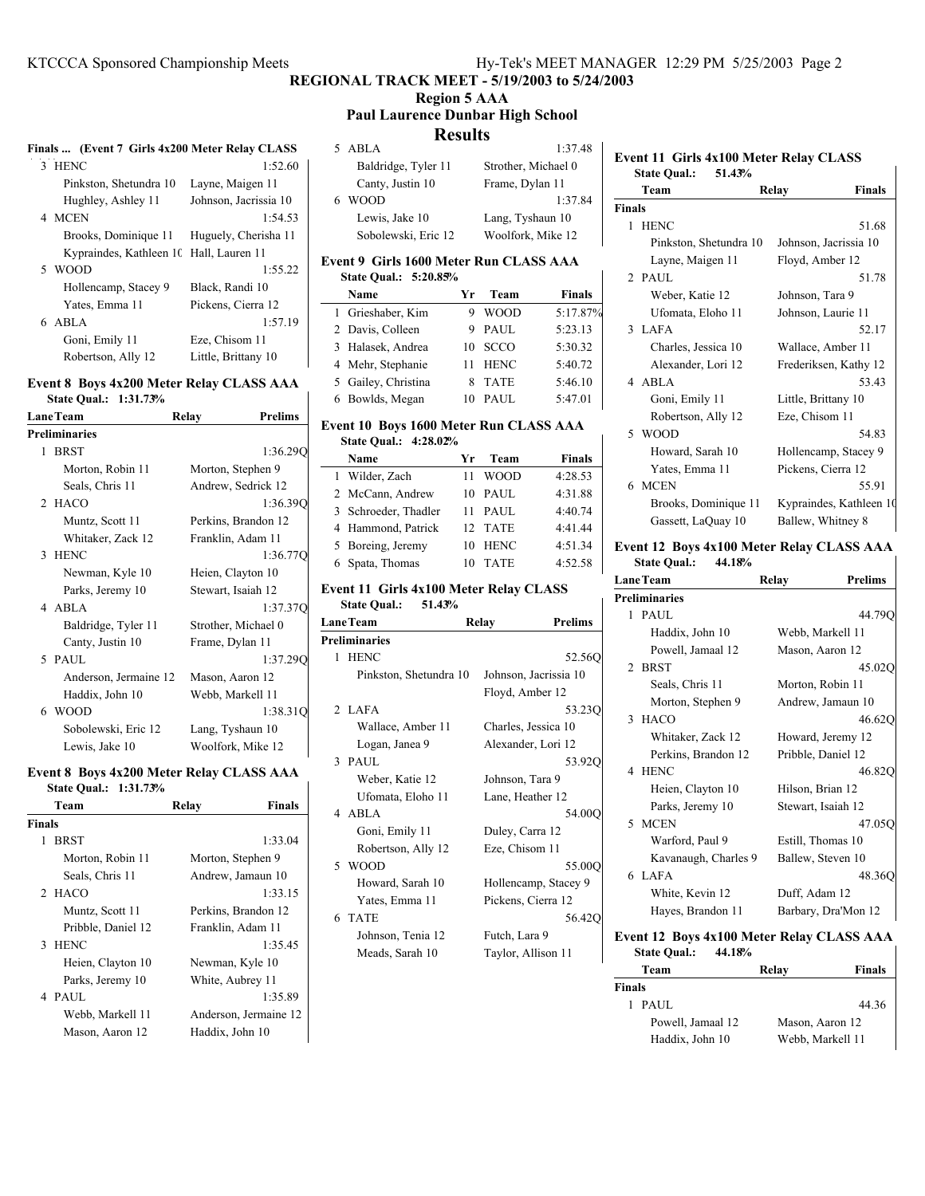# **Region 5 AAA**

#### **Paul Laurence Dunbar High School Results**

| Finals  (Event 7 Girls 4x200 Meter Relay CLASS |                                         |                       |  |
|------------------------------------------------|-----------------------------------------|-----------------------|--|
|                                                | 3 HENC                                  | 1:52.60               |  |
|                                                | Pinkston, Shetundra 10                  | Layne, Maigen 11      |  |
|                                                | Hughley, Ashley 11                      | Johnson, Jacrissia 10 |  |
|                                                | 4 MCEN                                  | 1:54.53               |  |
|                                                | Brooks, Dominique 11                    | Huguely, Cherisha 11  |  |
|                                                | Kypraindes, Kathleen 10 Hall, Lauren 11 |                       |  |
|                                                | 5 WOOD                                  | 1:55.22               |  |
|                                                | Hollencamp, Stacey 9                    | Black, Randi 10       |  |
|                                                | Yates, Emma 11                          | Pickens, Cierra 12    |  |
|                                                | 6 ABLA                                  | 1:57.19               |  |
|                                                | Goni, Emily 11                          | Eze, Chisom 11        |  |
|                                                | Robertson, Ally 12                      | Little, Brittany 10   |  |
|                                                |                                         |                       |  |

# **Event 8 Boys 4x200 Meter Relay CLASS AAA**

**State Qual.: 1:31.73% LaneTeam Relay Prelims**

|   | Preliminaries         |                     |
|---|-----------------------|---------------------|
| 1 | <b>BRST</b>           | 1:36.29             |
|   | Morton, Robin 11      | Morton, Stephen 9   |
|   | Seals, Chris 11       | Andrew, Sedrick 12  |
|   | 2 HACO                | 1:36.390            |
|   | Muntz, Scott 11       | Perkins, Brandon 12 |
|   | Whitaker, Zack 12     | Franklin, Adam 11   |
|   | 3 HENC                | 1:36.77C            |
|   | Newman, Kyle 10       | Heien, Clayton 10   |
|   | Parks, Jeremy 10      | Stewart, Isaiah 12  |
|   | 4 ABLA                | 1:37.370            |
|   | Baldridge, Tyler 11   | Strother, Michael 0 |
|   | Canty, Justin 10      | Frame, Dylan 11     |
|   | 5 PAUL                | 1:37.290            |
|   | Anderson, Jermaine 12 | Mason, Aaron 12     |
|   | Haddix, John 10       | Webb, Markell 11    |
|   | 6 WOOD                | 1:38.310            |
|   | Sobolewski, Eric 12   | Lang, Tyshaun 10    |
|   | Lewis, Jake 10        | Woolfork, Mike 12   |

#### **Event 8 Boys 4x200 Meter Relay CLASS AAA State Qual.: 1:31.73%**

|               | Team               | Relay             | <b>Finals</b>         |
|---------------|--------------------|-------------------|-----------------------|
| <b>Finals</b> |                    |                   |                       |
| 1             | <b>BRST</b>        |                   | 1:33.04               |
|               | Morton, Robin 11   | Morton, Stephen 9 |                       |
|               | Seals, Chris 11    | Andrew, Jamaun 10 |                       |
|               | 2 HACO             |                   | 1:33.15               |
|               | Muntz, Scott 11    |                   | Perkins, Brandon 12   |
|               | Pribble, Daniel 12 | Franklin, Adam 11 |                       |
|               | 3 HENC             |                   | 1:35.45               |
|               | Heien, Clayton 10  | Newman, Kyle 10   |                       |
|               | Parks, Jeremy 10   | White, Aubrey 11  |                       |
|               | 4 PAUL             |                   | 1:35.89               |
|               | Webb, Markell 11   |                   | Anderson, Jermaine 12 |
|               | Mason, Aaron 12    | Haddix, John 10   |                       |

|    | ----------          |                     |
|----|---------------------|---------------------|
|    | 5 ABLA              | 1:37.48             |
|    | Baldridge, Tyler 11 | Strother, Michael 0 |
|    | Canty, Justin 10    | Frame, Dylan 11     |
| 6. | <b>WOOD</b>         | 1:37.84             |
|    | Lewis, Jake 10      | Lang, Tyshaun 10    |
|    | Sobolewski, Eric 12 | Woolfork, Mike 12   |

#### **Event 9 Girls 1600 Meter Run CLASS AAA State Qual.: 5:20.85%**

| Name                | Yr | Team        | <b>Finals</b> |
|---------------------|----|-------------|---------------|
| 1 Grieshaber, Kim   |    | <b>WOOD</b> | 5:17.87%      |
| 2 Davis, Colleen    |    | 9 PAUL      | 5:23.13       |
| 3 Halasek, Andrea   | 10 | <b>SCCO</b> | 5:30.32       |
| 4 Mehr, Stephanie   |    | <b>HENC</b> | 5:40.72       |
| 5 Gailey, Christina |    | <b>TATE</b> | 5:46.10       |
| 6 Bowlds, Megan     |    | PAUL        | 5:47.01       |

#### **Event 10 Boys 1600 Meter Run CLASS AAA State Qual.: 4:28.02%**

| Name              |                      | Yr | Team        | <b>Finals</b> |
|-------------------|----------------------|----|-------------|---------------|
| 1 Wilder, Zach    |                      | 11 | <b>WOOD</b> | 4:28.53       |
|                   | 2 McCann, Andrew     | 10 | <b>PAUL</b> | 4:31.88       |
|                   | 3 Schroeder, Thadler | 11 | PAUL        | 4:40.74       |
|                   | 4 Hammond, Patrick   |    | 12 TATE     | 4:41.44       |
| 5 Boreing, Jeremy |                      | 10 | <b>HENC</b> | 4:51.34       |
| 6 Spata, Thomas   |                      |    | <b>TATE</b> | 4:52.58       |

## **Event 11 Girls 4x100 Meter Relay CLASS**

**State Qual.: 51.43%**

| <b>LaneTeam</b>      |                        | <b>Prelims</b><br>Relay |
|----------------------|------------------------|-------------------------|
| <b>Preliminaries</b> |                        |                         |
| 1 HENC               |                        | 52.560                  |
|                      | Pinkston, Shetundra 10 | Johnson, Jacrissia 10   |
|                      |                        | Floyd, Amber 12         |
| 2 LAFA               |                        | 53.23Q                  |
| Wallace, Amber 11    |                        | Charles, Jessica 10     |
| Logan, Janea 9       |                        | Alexander, Lori 12      |
| 3 PAUL               |                        | 53.920                  |
| Weber, Katie 12      |                        | Johnson, Tara 9         |
| Ufomata, Eloho 11    |                        | Lane, Heather 12        |
| 4 ABLA               |                        | 54.00O                  |
| Goni, Emily 11       |                        | Duley, Carra 12         |
| Robertson, Ally 12   |                        | Eze, Chisom 11          |
| 5 WOOD               |                        | 55.00O                  |
| Howard, Sarah 10     |                        | Hollencamp, Stacey 9    |
| Yates, Emma 11       |                        | Pickens, Cierra 12      |
| 6 TATE               |                        | 56.420                  |
| Johnson, Tenia 12    |                        | Futch, Lara 9           |
| Meads, Sarah 10      |                        | Taylor, Allison 11      |
|                      |                        |                         |

### **Event 11 Girls 4x100 Meter Relay CLASS State Qual.: 51.43% Team Relay Finals Finals** 1 HENC 51.68

| 51.68                   |
|-------------------------|
| Johnson, Jacrissia 10   |
| Floyd, Amber 12         |
| 51.78                   |
| Johnson, Tara 9         |
| Johnson, Laurie 11      |
| 52.17                   |
| Wallace, Amber 11       |
| Frederiksen, Kathy 12   |
| 53.43                   |
| Little, Brittany 10     |
| Eze, Chisom 11          |
| 54.83                   |
| Hollencamp, Stacey 9    |
| Pickens, Cierra 12      |
| 55.91                   |
| Kypraindes, Kathleen 10 |
| Ballew, Whitney 8       |
|                         |

#### **Event 12 Boys 4x100 Meter Relay CLASS AAA State Qual.: 44.18%**

| <b>LaneTeam</b> |                      | Relay              | <b>Prelims</b>      |
|-----------------|----------------------|--------------------|---------------------|
|                 | <b>Preliminaries</b> |                    |                     |
|                 | 1 PAUL               |                    | 44.79C              |
|                 | Haddix, John 10      | Webb, Markell 11   |                     |
|                 | Powell, Jamaal 12    | Mason, Aaron 12    |                     |
|                 | 2 BRST               |                    | 45.020              |
|                 | Seals, Chris 11      | Morton, Robin 11   |                     |
|                 | Morton, Stephen 9    |                    | Andrew, Jamaun 10   |
|                 | 3 HACO               |                    | 46.620              |
|                 | Whitaker, Zack 12    |                    | Howard, Jeremy 12   |
|                 | Perkins, Brandon 12  | Pribble, Daniel 12 |                     |
|                 | 4 HENC               |                    | 46.820              |
|                 | Heien, Clayton 10    | Hilson, Brian 12   |                     |
|                 | Parks, Jeremy 10     | Stewart, Isaiah 12 |                     |
|                 | 5 MCEN               |                    | 47.05C              |
|                 | Warford, Paul 9      | Estill, Thomas 10  |                     |
|                 | Kavanaugh, Charles 9 | Ballew, Steven 10  |                     |
|                 | 6 LAFA               |                    | 48.360              |
|                 | White, Kevin 12      | Duff, Adam 12      |                     |
|                 | Hayes, Brandon 11    |                    | Barbary, Dra'Mon 12 |

**Event 12 Boys 4x100 Meter Relay CLASS AAA State Qual.: 44.18%**

| Team              | Relay            | Finals |
|-------------------|------------------|--------|
| Finals            |                  |        |
| PAUL.<br>1.       |                  | 44.36  |
| Powell, Jamaal 12 | Mason, Aaron 12  |        |
| Haddix, John 10   | Webb, Markell 11 |        |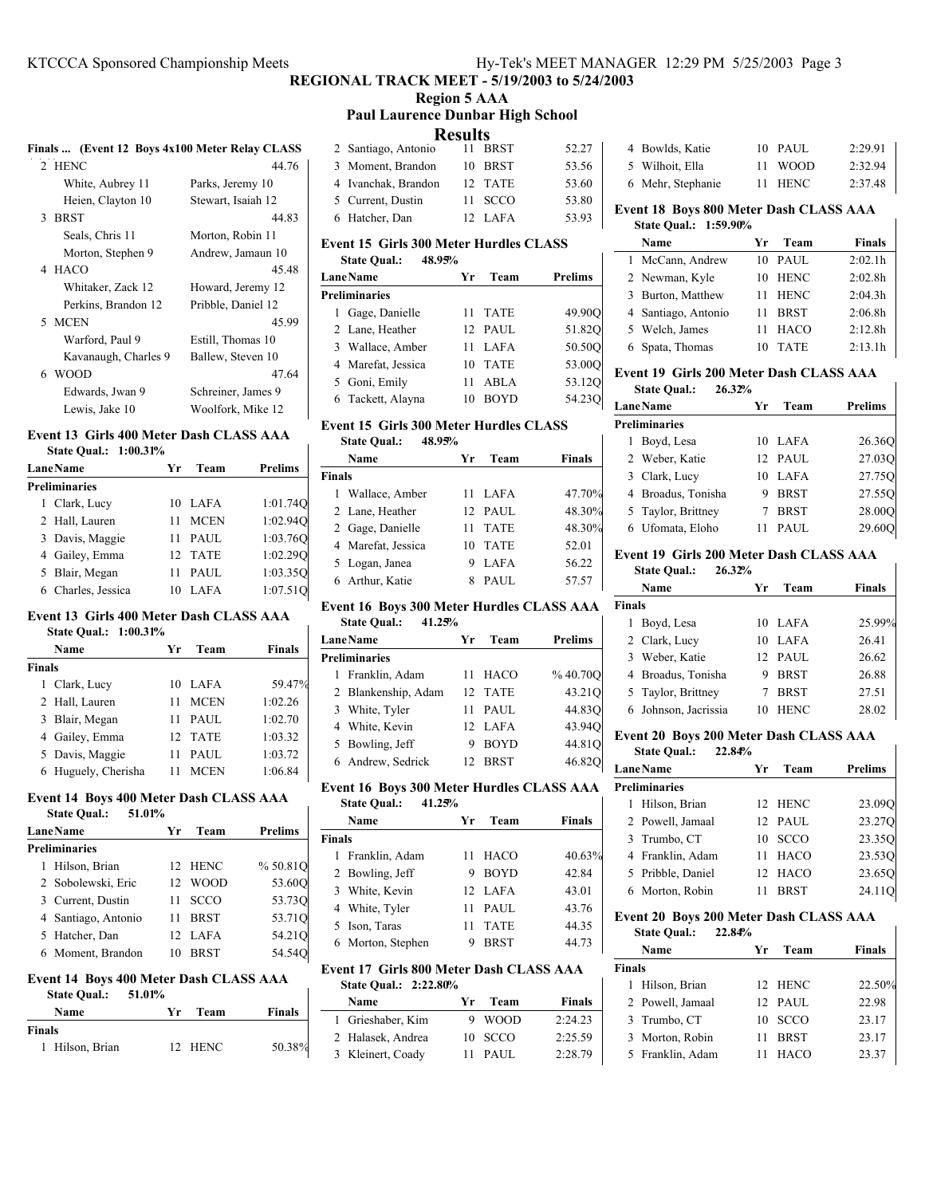#### KTCCCA Sponsored Championship Meets Hy-Tek's MEET MANAGER 12:29 PM 5/25/2003 Page 3

# **REGIONAL TRACK MEET - 5/19/2003 to 5/24/2003**

#### **Region 5 AAA Paul Laurence Dunbar High School**

**Results**

| rosuus              |    |         |       |
|---------------------|----|---------|-------|
| 2 Santiago, Antonio | 11 | BRST    | 52.27 |
| 3 Moment, Brandon   |    | 10 BRST | 53.56 |
| 4 Ivanchak, Brandon |    | 12 TATE | 53.60 |
| 5 Current, Dustin   |    | 11 SCCO | 53.80 |
| 6 Hatcher, Dan      |    | 12 LAFA | 53.93 |

#### **Event 15 Girls 300 Meter Hurdles CLASS**

| 48.95%<br><b>State Qual.:</b> |                   |         |
|-------------------------------|-------------------|---------|
| <b>LaneName</b>               | Team<br>Yr        | Prelims |
| <b>Preliminaries</b>          |                   |         |
| 1 Gage, Danielle              | <b>TATE</b><br>11 | 49.90O  |
| 2 Lane, Heather               | 12 PAUL           | 51.820  |
| 3 Wallace, Amber              | LAFA<br>11        | 50.500  |
| 4 Marefat, Jessica            | <b>TATE</b><br>10 | 53.00O  |
| 5 Goni, Emily                 | ABLA<br>11        | 53.12Q  |
| 6 Tackett, Alayna             | <b>BOYD</b><br>10 | 54.230  |

#### **Event 15 Girls 300 Meter Hurdles CLASS State Qual.: 48.95%**

|               | Name               | Vr | Team        | <b>Finals</b> |
|---------------|--------------------|----|-------------|---------------|
| <b>Finals</b> |                    |    |             |               |
|               | 1 Wallace, Amber   |    | 11 LAFA     | 47.70%        |
|               | 2 Lane, Heather    |    | 12 PAUL     | 48.30%        |
|               | 2 Gage, Danielle   | 11 | <b>TATE</b> | 48.30%        |
|               | 4 Marefat, Jessica | 10 | <b>TATE</b> | 52.01         |
|               | 5 Logan, Janea     | 9  | <b>LAFA</b> | 56.22         |
|               | 6 Arthur, Katie    | 8  | PAUL        | 57.57         |

### **Event 16 Boys 300 Meter Hurdles CLASS AAA**

| 41.25%<br><b>State Oual.:</b> |                  |         |
|-------------------------------|------------------|---------|
| <b>LaneName</b>               | Team<br>Уr       | Prelims |
| <b>Preliminaries</b>          |                  |         |
| 1 Franklin, Adam              | HACO<br>11       | %40.70O |
| 2 Blankenship, Adam           | 12 TATE          | 43.21Q  |
| 3 White, Tyler                | 11 PAUL          | 44.83O  |
| 4 White, Kevin                | 12 LAFA          | 43.94Q  |
| 5 Bowling, Jeff               | <b>BOYD</b><br>9 | 44.81Q  |
| 6 Andrew, Sedrick             | BRST<br>12.      | 46.820  |

# **Event 16 Boys 300 Meter Hurdles CLASS AAA**

|        | <b>State Qual.:</b><br>41.25% |    |             |               |
|--------|-------------------------------|----|-------------|---------------|
|        | Name                          | Уr | Team        | <b>Finals</b> |
| Finals |                               |    |             |               |
|        | 1 Franklin, Adam              |    | 11 HACO     | 40.63%        |
|        | 2 Bowling, Jeff               | 9  | <b>BOYD</b> | 42.84         |
|        | 3 White, Kevin                |    | 12 LAFA     | 43.01         |
|        | 4 White, Tyler                | 11 | PAUL        | 43.76         |
|        | 5 Ison, Taras                 | 11 | <b>TATE</b> | 44.35         |
|        | 6 Morton, Stephen             | 9  | <b>BRST</b> | 44.73         |

#### **Event 17 Girls 800 Meter Dash CLASS AAA State Qual.: 2:22.80%**

| Name              | Yr. | Team      | Finals  |
|-------------------|-----|-----------|---------|
| 1 Grieshaber, Kim |     | 9 WOOD    | 2:24.23 |
| 2 Halasek, Andrea |     | 10 SCCO   | 2:25.59 |
| 3 Kleinert, Coady |     | $11$ PAUL | 2:28.79 |

| 4 Bowlds, Katie   | 10 PAUL | 2:29.91 |
|-------------------|---------|---------|
| 5 Wilhoit, Ella   | 11 WOOD | 2:32.94 |
| 6 Mehr, Stephanie | 11 HENC | 2:37.48 |

### **Event 18 Boys 800 Meter Dash CLASS AAA**

# **State Qual.: 1:59.90%**

| Name                | Уr | Team        | Finals  |
|---------------------|----|-------------|---------|
| 1 McCann, Andrew    |    | 10 PAUL     | 2:02.1h |
| 2 Newman, Kyle      | 10 | HENC        | 2:02.8h |
| 3 Burton, Matthew   | 11 | HENC        | 2:04.3h |
| 4 Santiago, Antonio | 11 | <b>BRST</b> | 2:06.8h |
| 5 Welch, James      | 11 | HACO        | 2:12.8h |
| 6 Spata, Thomas     |    | <b>TATE</b> | 2:13.1h |

#### **Event 19 Girls 200 Meter Dash CLASS AAA State Qual.: 26.32%**

|   | <b>LaneName</b>      | Уr | Team        | <b>Prelims</b> |
|---|----------------------|----|-------------|----------------|
|   | <b>Preliminaries</b> |    |             |                |
| L | Boyd, Lesa           | 10 | LAFA        | 26.36Q         |
|   | 2 Weber, Katie       |    | 12 PAUL     | 27.03O         |
|   | 3 Clark, Lucy        | 10 | <b>LAFA</b> | 27.75O         |
|   | 4 Broadus, Tonisha   |    | <b>BRST</b> | 27.55Q         |
|   | 5 Taylor, Brittney   |    | <b>BRST</b> | 28.000         |
|   | 6 Ufomata, Eloho     |    | PAUL        | 29.60          |

# **Event 19 Girls 200 Meter Dash CLASS AAA**

| <b>State Qual.:</b> | 26.32% |  |
|---------------------|--------|--|
|---------------------|--------|--|

|               | Name                 | Vг | Team        | <b>Finals</b> |
|---------------|----------------------|----|-------------|---------------|
| <b>Finals</b> |                      |    |             |               |
| 1             | Boyd, Lesa           |    | 10 LAFA     | 25.99%        |
|               | 2 Clark, Lucy        | 10 | LAFA        | 26.41         |
|               | 3 Weber, Katie       |    | 12 PAUL     | 26.62         |
|               | 4 Broadus, Tonisha   | 9  | <b>BRST</b> | 26.88         |
|               | 5 Taylor, Brittney   |    | <b>BRST</b> | 27.51         |
|               | 6 Johnson, Jacrissia | 10 | <b>HENC</b> | 28.02         |

### **Event 20 Boys 200 Meter Dash CLASS AAA**

 $\mathbf{I}$ 

| <b>State Qual.:</b><br>22.84% |    |             |                |
|-------------------------------|----|-------------|----------------|
| <b>LaneName</b>               | Yr | Team        | <b>Prelims</b> |
| <b>Preliminaries</b>          |    |             |                |
| 1 Hilson, Brian               |    | 12 HENC     | 23.090         |
| 2 Powell, Jamaal              |    | 12 PAUL     | 23.270         |
| 3 Trumbo, CT                  | 10 | <b>SCCO</b> | 23.35Q         |
| 4 Franklin, Adam              | 11 | <b>HACO</b> | 23.53Q         |
| 5 Pribble, Daniel             |    | 12 HACO     | 23.650         |
| 6 Morton, Robin               |    | BRST        | 24.11Q         |

#### **Event 20 Boys 200 Meter Dash CLASS AAA**

**State Qual.: 22.84%**

| Name             | ٧r | Team        | <b>Finals</b> |
|------------------|----|-------------|---------------|
| <b>Finals</b>    |    |             |               |
| 1 Hilson, Brian  |    | 12 HENC     | 22.50%        |
| 2 Powell, Jamaal |    | $12$ PAUL   | 22.98         |
| 3 Trumbo, CT     |    | 10 SCCO     | 23.17         |
| 3 Morton, Robin  | 11 | <b>BRST</b> | 23.17         |
| 5 Franklin, Adam | 11 | <b>HACO</b> | 23.37         |

# **Finals ... (Event 12 Boys 4x100 Meter Relay CLASS**

| 2 HENC               | 44.76              |
|----------------------|--------------------|
| White, Aubrey 11     | Parks, Jeremy 10   |
| Heien, Clayton 10    | Stewart, Isaiah 12 |
| 3 BRST               | 44.83              |
| Seals, Chris 11      | Morton, Robin 11   |
| Morton, Stephen 9    | Andrew, Jamaun 10  |
| 4 HACO               | 45.48              |
| Whitaker, Zack 12    | Howard, Jeremy 12  |
| Perkins, Brandon 12  | Pribble, Daniel 12 |
| 5 MCEN               | 45.99              |
| Warford, Paul 9      | Estill, Thomas 10  |
| Kavanaugh, Charles 9 | Ballew, Steven 10  |
| 6 WOOD               | 47.64              |
| Edwards, Jwan 9      | Schreiner, James 9 |
| Lewis, Jake 10       | Woolfork, Mike 12  |

#### **Event 13 Girls 400 Meter Dash CLASS AAA State Qual.: 1:00.31%**

| <b>Lane Name</b> |                      | Yr | Team        | <b>Prelims</b> |
|------------------|----------------------|----|-------------|----------------|
|                  | <b>Preliminaries</b> |    |             |                |
|                  | 1 Clark, Lucy        | 10 | LAFA        | 1:01.74Q       |
|                  | 2 Hall, Lauren       | 11 | <b>MCEN</b> | 1:02.940       |
|                  | 3 Davis, Maggie      | 11 | <b>PAUL</b> | 1:03.76Q       |
|                  | 4 Gailey, Emma       |    | 12 TATE     | 1:02.29Q       |
|                  | 5 Blair, Megan       |    | <b>PAUL</b> | 1:03.35Q       |
|                  | 6 Charles, Jessica   |    | LAFA        | 1:07.510       |

#### **Event 13 Girls 400 Meter Dash CLASS AAA**

| Name                | Уr | Team        | <b>Finals</b> |
|---------------------|----|-------------|---------------|
| Finals              |    |             |               |
| 1 Clark, Lucy       | 10 | <b>LAFA</b> | 59.47%        |
| 2 Hall, Lauren      | 11 | <b>MCEN</b> | 1:02.26       |
| 3 Blair, Megan      | 11 | <b>PAUL</b> | 1:02.70       |
| 4 Gailey, Emma      |    | 12 TATE     | 1:03.32       |
| 5 Davis, Maggie     | 11 | <b>PAUL</b> | 1:03.72       |
| 6 Huguely, Cherisha |    | <b>MCEN</b> | 1:06.84       |
|                     |    |             |               |

#### **Event 14 Boys 400 Meter Dash CLASS AAA State Qual.: 51.01%**

| suur vuun<br><u>viwi</u> /v |    |             |                |
|-----------------------------|----|-------------|----------------|
| <b>Lane Name</b>            | Yr | Team        | <b>Prelims</b> |
| <b>Preliminaries</b>        |    |             |                |
| 1 Hilson, Brian             |    | 12 HENC     | % 50.81Q       |
| 2 Sobolewski, Eric          |    | 12 WOOD     | 53.600         |
| 3 Current, Dustin           | 11 | <b>SCCO</b> | 53.73Q         |
| 4 Santiago, Antonio         | 11 | <b>BRST</b> | 53.71Q         |
| 5 Hatcher, Dan              |    | 12 LAFA     | 54.21Q         |
| 6 Moment, Brandon           | 10 | <b>BRST</b> | 54.54Q         |
|                             |    |             |                |

### **Event 14 Boys 400 Meter Dash CLASS AAA**

# **State Qual.: 51.01%**

| <b>Name</b>     | Yr.<br>Team | <b>Finals</b> |
|-----------------|-------------|---------------|
| Finals          |             |               |
| 1 Hilson, Brian | 12 HENC     | 50.38%        |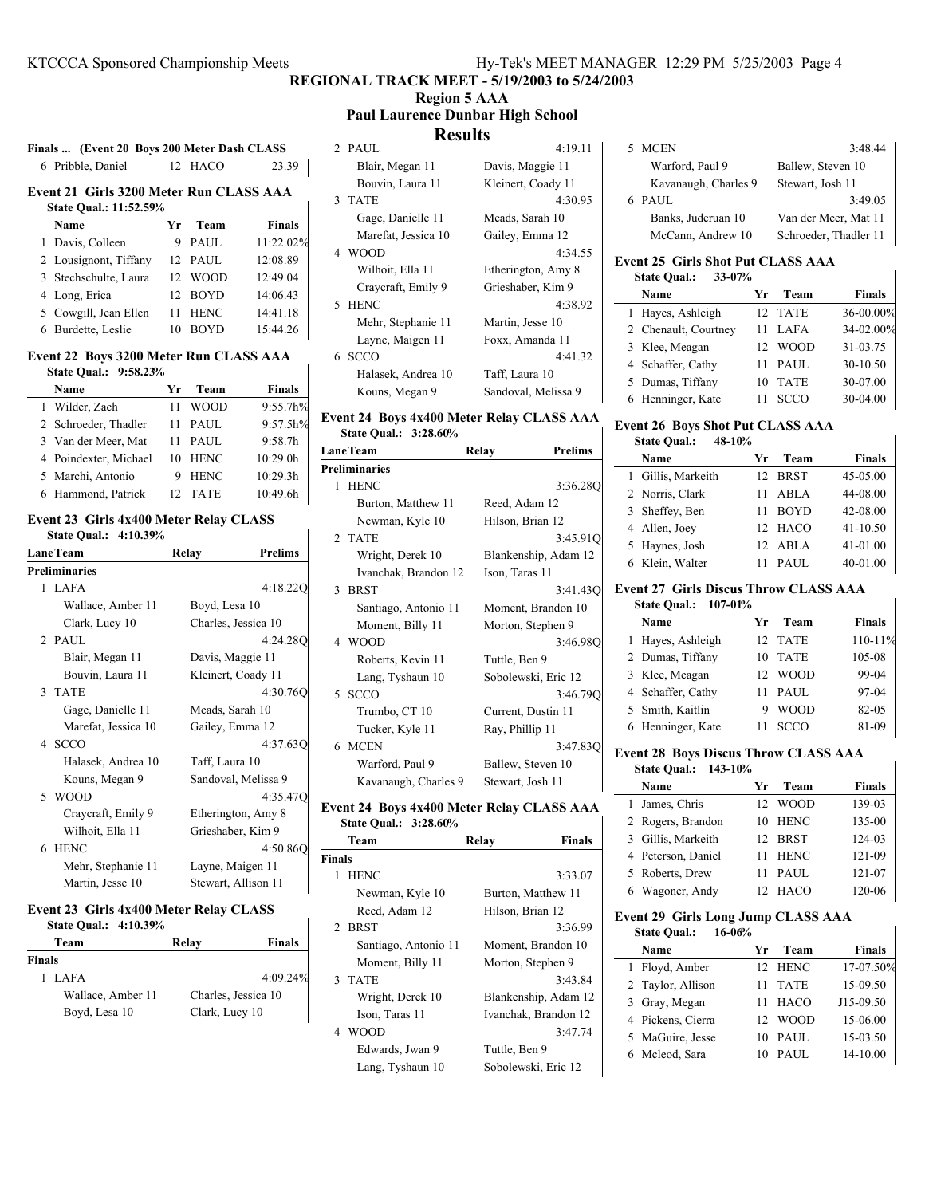# **Region 5 AAA**

**Paul Laurence Dunbar High School**

### **Results**

| 6 Pribble, Daniel                          | 12 HACO | 23.39 |
|--------------------------------------------|---------|-------|
| Exant 21 Civile 2200 Mator D. p. CLASS AAA |         |       |

**Finals ... (Event 20 Boys 200 Meter Dash CLASS**

#### **Event 21 Girls 3200 Meter Run CLASS AAA State Qual.: 11:52.59%**

| Name                  | Уr              | Team        | Finals    |
|-----------------------|-----------------|-------------|-----------|
| 1 Davis, Colleen      |                 | <b>PAUL</b> | 11:22.02% |
| 2 Lousignont, Tiffany |                 | 12 PAUL     | 12:08.89  |
| 3 Stechschulte, Laura | 12 <sup>2</sup> | <b>WOOD</b> | 12:49.04  |
| 4 Long, Erica         |                 | 12 BOYD     | 14:06.43  |
| 5 Cowgill, Jean Ellen | 11              | <b>HENC</b> | 14:41.18  |
| 6 Burdette, Leslie    |                 | BOYD        | 15:44.26  |

#### **Event 22 Boys 3200 Meter Run CLASS AAA**

| State Oual.: 9:58.23% |                   |               |
|-----------------------|-------------------|---------------|
| Name                  | Team<br>Уr        | <b>Finals</b> |
| 1 Wilder, Zach        | WOOD              | 9:55.7h%      |
| 2 Schroeder, Thadler  | PAUL<br>11        | 9:57.5h%      |
| 3 Van der Meer, Mat   | PAUL<br>11        | 9:58.7h       |
| 4 Poindexter, Michael | <b>HENC</b><br>10 | 10:29.0h      |
| 5 Marchi, Antonio     | <b>HENC</b><br>9  | 10:29.3h      |
| 6 Hammond, Patrick    | <b>TATE</b>       | 10:49.6h      |

#### **Event 23 Girls 4x400 Meter Relay CLASS State Qual.: 4:10.39%**

| <b>LaneTeam</b> |                      | Relay           | <b>Prelims</b>      |
|-----------------|----------------------|-----------------|---------------------|
|                 | <b>Preliminaries</b> |                 |                     |
|                 | 1 LAFA               |                 | 4:18.220            |
|                 | Wallace, Amber 11    | Boyd, Lesa 10   |                     |
|                 | Clark, Lucy 10       |                 | Charles, Jessica 10 |
|                 | 2 PAUL               |                 | 4:24.280            |
|                 | Blair, Megan 11      |                 | Davis, Maggie 11    |
|                 | Bouvin, Laura 11     |                 | Kleinert, Coady 11  |
|                 | 3 TATE               |                 | 4:30.760            |
|                 | Gage, Danielle 11    | Meads, Sarah 10 |                     |
|                 | Marefat, Jessica 10  |                 | Gailey, Emma 12     |
|                 | 4 SCCO               |                 | 4:37.630            |
|                 | Halasek, Andrea 10   | Taff, Laura 10  |                     |
|                 | Kouns, Megan 9       |                 | Sandoval, Melissa 9 |
|                 | 5 WOOD               |                 | 4:35.470            |
|                 | Craycraft, Emily 9   |                 | Etherington, Amy 8  |
|                 | Wilhoit, Ella 11     |                 | Grieshaber, Kim 9   |
|                 | 6 HENC               |                 | 4:50.860            |
|                 | Mehr, Stephanie 11   |                 | Layne, Maigen 11    |
|                 | Martin, Jesse 10     |                 | Stewart, Allison 11 |
|                 |                      |                 |                     |

# **Event 23 Girls 4x400 Meter Relay CLASS**

| State Qual.: 4:10.39% |  |
|-----------------------|--|
|-----------------------|--|

| Team              | Relay               | <b>Finals</b> |
|-------------------|---------------------|---------------|
| <b>Finals</b>     |                     |               |
| 1 LAFA            |                     | 4:09.24%      |
| Wallace, Amber 11 | Charles, Jessica 10 |               |
| Boyd, Lesa 10     | Clark, Lucy 10      |               |

| 2 PAUL              | 4:19.11             |
|---------------------|---------------------|
| Blair, Megan 11     | Davis, Maggie 11    |
| Bouvin, Laura 11    | Kleinert, Coady 11  |
| 3 TATE              | 4:30.95             |
| Gage, Danielle 11   | Meads, Sarah 10     |
| Marefat, Jessica 10 | Gailey, Emma 12     |
| 4 WOOD              | 4:34.55             |
| Wilhoit, Ella 11    | Etherington, Amy 8  |
| Craycraft, Emily 9  | Grieshaber, Kim 9   |
| 5 HENC              | 4:38.92             |
| Mehr, Stephanie 11  | Martin, Jesse 10    |
| Layne, Maigen 11    | Foxx, Amanda 11     |
| 6 SCCO              | 4:41.32             |
| Halasek, Andrea 10  | Taff, Laura 10      |
| Kouns, Megan 9      | Sandoval, Melissa 9 |

#### **Event 24 Boys 4x400 Meter Relay CLASS AAA State Qual.: 3:28.60%**

| <b>LaneTeam</b> |                      | Relay              | <b>Prelims</b>       |
|-----------------|----------------------|--------------------|----------------------|
|                 | <b>Preliminaries</b> |                    |                      |
|                 | 1 HENC               |                    | 3:36.280             |
|                 | Burton, Matthew 11   | Reed, Adam 12      |                      |
|                 | Newman, Kyle 10      | Hilson, Brian 12   |                      |
|                 | 2 TATE               |                    | 3:45.91Q             |
|                 | Wright, Derek 10     |                    | Blankenship, Adam 12 |
|                 | Ivanchak, Brandon 12 | Ison, Taras 11     |                      |
|                 | 3 BRST               |                    | 3:41.43Q             |
|                 | Santiago, Antonio 11 |                    | Moment, Brandon 10   |
|                 | Moment, Billy 11     | Morton, Stephen 9  |                      |
|                 | 4 WOOD               |                    | 3:46.98O             |
|                 | Roberts, Kevin 11    | Tuttle, Ben 9      |                      |
|                 | Lang, Tyshaun 10     |                    | Sobolewski, Eric 12  |
|                 | 5 SCCO               |                    | 3:46.790             |
|                 | Trumbo, CT 10        | Current, Dustin 11 |                      |
|                 | Tucker, Kyle 11      | Ray, Phillip 11    |                      |
|                 | 6 MCEN               |                    | 3:47.83Q             |
|                 | Warford, Paul 9      | Ballew, Steven 10  |                      |
|                 | Kavanaugh, Charles 9 | Stewart, Josh 11   |                      |

#### **Event 24 Boys 4x400 Meter Relay CLASS AAA State Qual.: 3:28.60%**

|               | Team                 | <b>Finals</b><br>Relay |
|---------------|----------------------|------------------------|
| <b>Finals</b> |                      |                        |
|               | 1 HENC               | 3:33.07                |
|               | Newman, Kyle 10      | Burton, Matthew 11     |
|               | Reed, Adam 12        | Hilson, Brian 12       |
|               | 2 BRST               | 3:36.99                |
|               | Santiago, Antonio 11 | Moment, Brandon 10     |
|               | Moment, Billy 11     | Morton, Stephen 9      |
|               | 3 TATE               | 3:43.84                |
|               | Wright, Derek 10     | Blankenship, Adam 12   |
|               | Ison, Taras 11       | Ivanchak, Brandon 12   |
|               | 4 WOOD               | 3:47.74                |
|               | Edwards, Jwan 9      | Tuttle, Ben 9          |
|               | Lang, Tyshaun 10     | Sobolewski, Eric 12    |

# Banks, Juderuan 10 Van der Meer, Mat 11 McCann, Andrew 10 Schroeder, Thadler 11

5 MCEN 3:48.44 Warford, Paul 9 Ballew, Steven 10 Kavanaugh, Charles 9 Stewart, Josh 11 6 3:49.05 PAUL

#### **Event 25 Girls Shot Put CLASS AAA State Qual.: 33-07%**

| Name                 | Team<br>Yг        | <b>Finals</b> |
|----------------------|-------------------|---------------|
| 1 Hayes, Ashleigh    | 12 TATE           | 36-00.00%     |
| 2 Chenault, Courtney | LAFA              | 34-02.00%     |
| 3 Klee, Meagan       | WOOD              | 31-03.75      |
| 4 Schaffer, Cathy    | <b>PAUL</b><br>11 | 30-10.50      |
| 5 Dumas, Tiffany     | <b>TATE</b><br>10 | 30-07.00      |
| 6 Henninger, Kate    |                   | 30-04.00      |

 $\mathsf{l}$ 

#### **Event 26 Boys Shot Put CLASS AAA State Qual.: 48-10%**

| Name               | Team<br>Yr.       | <b>Finals</b> |
|--------------------|-------------------|---------------|
| 1 Gillis, Markeith | 12 BRST           | 45-05.00      |
| 2 Norris, Clark    | ABLA<br>11        | 44-08.00      |
| 3 Sheffey, Ben     | <b>BOYD</b><br>11 | 42-08.00      |
| 4 Allen, Joey      | 12 HACO           | $41 - 10.50$  |
| 5 Haynes, Josh     | 12 ABLA           | 41-01.00      |
| 6 Klein, Walter    | PAUL<br>11        | 40-01.00      |
|                    |                   |               |

# **Event 27 Girls Discus Throw CLASS AAA**

#### **State Qual.: 107-01%**

| Name              | Team<br>Yr.        | Finals      |
|-------------------|--------------------|-------------|
| 1 Hayes, Ashleigh | 12 TATE            | $110 - 11%$ |
| 2 Dumas, Tiffany  | <b>TATE</b><br>10  | 105-08      |
| 3 Klee, Meagan    | <b>WOOD</b><br>12. | 99-04       |
| 4 Schaffer, Cathy | PAUL<br>11         | 97-04       |
| 5 Smith, Kaitlin  | <b>WOOD</b>        | 82-05       |
| 6 Henninger, Kate | <b>SCCO</b>        | 81-09       |

# **Event 28 Boys Discus Throw CLASS AAA**

# **State Qual.: 143-10%**

| Name               | Vr  | Team        | <b>Finals</b> |
|--------------------|-----|-------------|---------------|
| 1 James, Chris     |     | 12 WOOD     | 139-03        |
| 2 Rogers, Brandon  |     | 10 HENC     | 135-00        |
| 3 Gillis, Markeith |     | 12 BRST     | 124-03        |
| 4 Peterson, Daniel | 11  | HENC        | 121-09        |
| 5 Roberts, Drew    | 11  | PAUL        | 121-07        |
| 6 Wagoner, Andy    | 12. | <b>HACO</b> | 120-06        |

#### **Event 29 Girls Long Jump CLASS AAA**

|   | $16 - 06%$<br><b>State Qual.:</b> |    |             |               |
|---|-----------------------------------|----|-------------|---------------|
|   | Name                              | Yr | Team        | <b>Finals</b> |
| 1 | Floyd, Amber                      |    | 12 HENC     | 17-07.50%     |
|   | 2 Taylor, Allison                 | 11 | <b>TATE</b> | 15-09.50      |
|   | 3 Gray, Megan                     | 11 | <b>HACO</b> | J15-09.50     |
|   | 4 Pickens, Cierra                 | 12 | <b>WOOD</b> | 15-06.00      |
|   | 5 MaGuire, Jesse                  | 10 | PAUL        | 15-03.50      |
|   | 6 Mcleod, Sara                    | 10 | PAUL        | 14-10.00      |